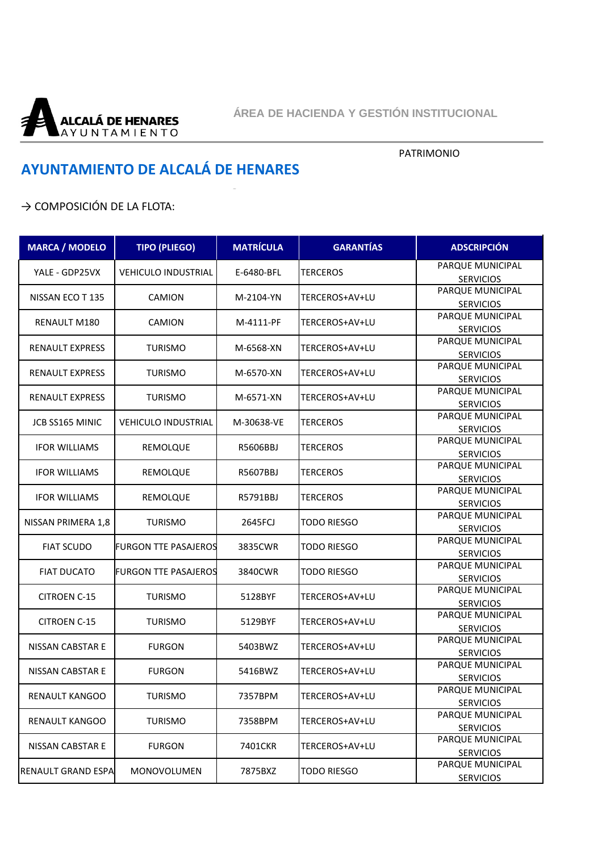

## PATRIMONIO

## **AYUNTAMIENTO DE ALCALÁ DE HENARES**

## → COMPOSICIÓN DE LA FLOTA:

| <b>MARCA / MODELO</b>     | <b>TIPO (PLIEGO)</b>        | <b>MATRÍCULA</b>         | <b>GARANTÍAS</b>   | <b>ADSCRIPCIÓN</b>                   |
|---------------------------|-----------------------------|--------------------------|--------------------|--------------------------------------|
| YALE - GDP25VX            | <b>VEHICULO INDUSTRIAL</b>  | E-6480-BFL               | <b>TERCEROS</b>    | PARQUE MUNICIPAL                     |
|                           |                             |                          |                    | <b>SERVICIOS</b>                     |
| NISSAN ECO T 135          | CAMION                      | M-2104-YN                | TERCEROS+AV+LU     | PARQUE MUNICIPAL                     |
|                           |                             |                          |                    | <b>SERVICIOS</b><br>PARQUE MUNICIPAL |
| RENAULT M180              | <b>CAMION</b>               | M-4111-PF                | TERCEROS+AV+LU     |                                      |
|                           |                             |                          |                    | <b>SERVICIOS</b><br>PARQUE MUNICIPAL |
| <b>RENAULT EXPRESS</b>    | <b>TURISMO</b>              | M-6568-XN                | TERCEROS+AV+LU     |                                      |
|                           |                             |                          |                    | <b>SERVICIOS</b><br>PARQUE MUNICIPAL |
| <b>RENAULT EXPRESS</b>    | <b>TURISMO</b>              | M-6570-XN                | TERCEROS+AV+LU     |                                      |
|                           |                             |                          |                    | <b>SERVICIOS</b><br>PARQUE MUNICIPAL |
| <b>RENAULT EXPRESS</b>    | <b>TURISMO</b>              | M-6571-XN                | TERCEROS+AV+LU     |                                      |
|                           |                             |                          |                    | <b>SERVICIOS</b><br>PARQUE MUNICIPAL |
| JCB SS165 MINIC           | <b>VEHICULO INDUSTRIAL</b>  | M-30638-VE               | <b>TERCEROS</b>    | <b>SERVICIOS</b>                     |
|                           |                             |                          |                    | PARQUE MUNICIPAL                     |
| <b>IFOR WILLIAMS</b>      | REMOLQUE                    | R5606BBJ                 | <b>TERCEROS</b>    | <b>SERVICIOS</b>                     |
|                           |                             |                          |                    | PARQUE MUNICIPAL                     |
| <b>IFOR WILLIAMS</b>      | REMOLQUE                    | R5607BBJ                 | TERCEROS           | <b>SERVICIOS</b>                     |
|                           |                             |                          |                    | PARQUE MUNICIPAL                     |
| <b>IFOR WILLIAMS</b>      | REMOLQUE                    | R5791BBJ                 | <b>TERCEROS</b>    | <b>SERVICIOS</b>                     |
|                           |                             |                          |                    | PARQUE MUNICIPAL                     |
| NISSAN PRIMERA 1,8        | <b>TURISMO</b>              | 2645FCJ                  | TODO RIESGO        |                                      |
|                           |                             |                          |                    | <b>SERVICIOS</b><br>PARQUE MUNICIPAL |
| <b>FIAT SCUDO</b>         | <b>FURGON TTE PASAJEROS</b> | 3835CWR                  | <b>TODO RIESGO</b> | <b>SERVICIOS</b>                     |
|                           |                             |                          |                    | PARQUE MUNICIPAL                     |
| <b>FIAT DUCATO</b>        | <b>FURGON TTE PASAJEROS</b> | 3840CWR                  | <b>TODO RIESGO</b> | <b>SERVICIOS</b>                     |
|                           |                             |                          |                    | PARQUE MUNICIPAL                     |
| <b>CITROEN C-15</b>       | <b>TURISMO</b>              | 5128BYF                  | TERCEROS+AV+LU     | <b>SERVICIOS</b>                     |
|                           |                             |                          |                    | PARQUE MUNICIPAL                     |
| <b>CITROEN C-15</b>       | <b>TURISMO</b>              | 5129BYF                  | TERCEROS+AV+LU     | <b>SERVICIOS</b>                     |
|                           |                             |                          |                    | PARQUE MUNICIPAL                     |
| <b>NISSAN CABSTAR E</b>   | <b>FURGON</b>               | 5403BWZ                  | TERCEROS+AV+LU     | <b>SERVICIOS</b>                     |
|                           |                             | <b>FURGON</b><br>5416BWZ |                    | PARQUE MUNICIPAL                     |
| <b>NISSAN CABSTAR E</b>   |                             |                          | TERCEROS+AV+LU     | <b>SERVICIOS</b>                     |
|                           |                             |                          | TERCEROS+AV+LU     | PARQUE MUNICIPAL                     |
| RENAULT KANGOO            | <b>TURISMO</b>              | 7357BPM                  |                    | <b>SERVICIOS</b>                     |
|                           | <b>TURISMO</b>              | 7358BPM                  | TERCEROS+AV+LU     | PARQUE MUNICIPAL                     |
| RENAULT KANGOO            |                             |                          |                    | <b>SERVICIOS</b>                     |
|                           |                             |                          |                    | PARQUE MUNICIPAL                     |
| NISSAN CABSTAR E          | <b>FURGON</b>               | 7401CKR                  | TERCEROS+AV+LU     | <b>SERVICIOS</b>                     |
|                           |                             | PARQUE MUNICIPAL         |                    |                                      |
| <b>RENAULT GRAND ESPA</b> | MONOVOLUMEN                 | 7875BXZ                  | <b>TODO RIESGO</b> | <b>SERVICIOS</b>                     |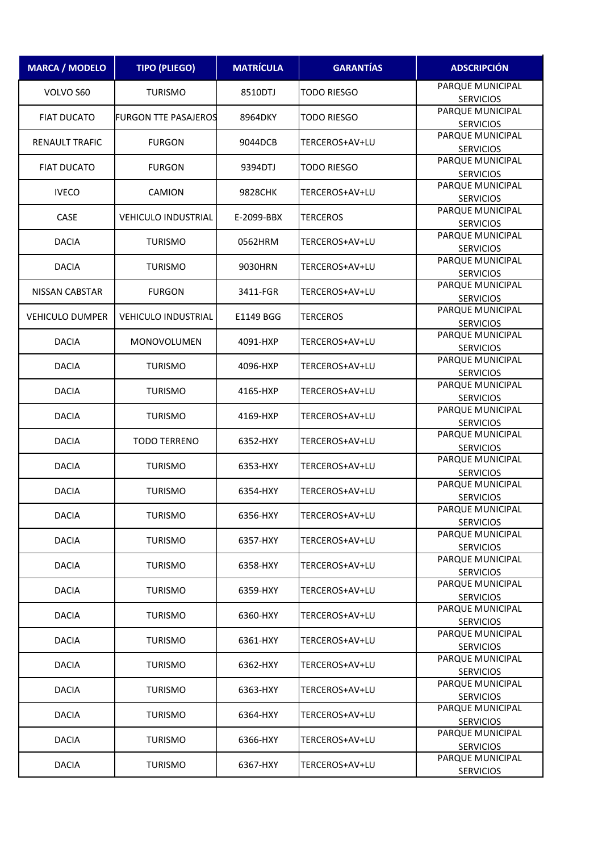| <b>MARCA / MODELO</b>  | <b>TIPO (PLIEGO)</b>        | <b>MATRÍCULA</b> | <b>GARANTÍAS</b>   | <b>ADSCRIPCIÓN</b>                   |
|------------------------|-----------------------------|------------------|--------------------|--------------------------------------|
| VOLVO S60              | <b>TURISMO</b>              | 8510DTJ          | <b>TODO RIESGO</b> | PARQUE MUNICIPAL<br><b>SERVICIOS</b> |
| <b>FIAT DUCATO</b>     | <b>FURGON TTE PASAJEROS</b> | 8964DKY          | TODO RIESGO        | PARQUE MUNICIPAL<br><b>SERVICIOS</b> |
| <b>RENAULT TRAFIC</b>  | <b>FURGON</b>               | 9044DCB          | TERCEROS+AV+LU     | PARQUE MUNICIPAL<br><b>SERVICIOS</b> |
| <b>FIAT DUCATO</b>     | <b>FURGON</b>               | 9394DTJ          | TODO RIESGO        | PARQUE MUNICIPAL<br><b>SERVICIOS</b> |
| <b>IVECO</b>           | <b>CAMION</b>               | 9828CHK          | TERCEROS+AV+LU     | PARQUE MUNICIPAL<br><b>SERVICIOS</b> |
| CASE                   | VEHICULO INDUSTRIAL         | E-2099-BBX       | <b>TERCEROS</b>    | PARQUE MUNICIPAL<br><b>SERVICIOS</b> |
| <b>DACIA</b>           | <b>TURISMO</b>              | 0562HRM          | TERCEROS+AV+LU     | PARQUE MUNICIPAL<br><b>SERVICIOS</b> |
| <b>DACIA</b>           | <b>TURISMO</b>              | 9030HRN          | TERCEROS+AV+LU     | PARQUE MUNICIPAL<br><b>SERVICIOS</b> |
| NISSAN CABSTAR         | <b>FURGON</b>               | 3411-FGR         | TERCEROS+AV+LU     | PARQUE MUNICIPAL<br><b>SERVICIOS</b> |
| <b>VEHICULO DUMPER</b> | VEHICULO INDUSTRIAL         | E1149 BGG        | <b>TERCEROS</b>    | PARQUE MUNICIPAL<br><b>SERVICIOS</b> |
| <b>DACIA</b>           | <b>MONOVOLUMEN</b>          | 4091-HXP         | TERCEROS+AV+LU     | PARQUE MUNICIPAL<br><b>SERVICIOS</b> |
| <b>DACIA</b>           | <b>TURISMO</b>              | 4096-HXP         | TERCEROS+AV+LU     | PARQUE MUNICIPAL<br><b>SERVICIOS</b> |
| <b>DACIA</b>           | <b>TURISMO</b>              | 4165-HXP         | TERCEROS+AV+LU     | PARQUE MUNICIPAL                     |
| <b>DACIA</b>           | <b>TURISMO</b>              | 4169-HXP         | TERCEROS+AV+LU     | <b>SERVICIOS</b><br>PARQUE MUNICIPAL |
| <b>DACIA</b>           | <b>TODO TERRENO</b>         | 6352-HXY         | TERCEROS+AV+LU     | <b>SERVICIOS</b><br>PARQUE MUNICIPAL |
| <b>DACIA</b>           | <b>TURISMO</b>              | 6353-HXY         | TERCEROS+AV+LU     | <b>SERVICIOS</b><br>PARQUE MUNICIPAL |
| <b>DACIA</b>           | <b>TURISMO</b>              | 6354-HXY         | TERCEROS+AV+LU     | <b>SERVICIOS</b><br>PARQUE MUNICIPAL |
| <b>DACIA</b>           | <b>TURISMO</b>              | 6356-HXY         | TERCEROS+AV+LU     | <b>SERVICIOS</b><br>PARQUE MUNICIPAL |
| <b>DACIA</b>           | <b>TURISMO</b>              | 6357-HXY         | TERCEROS+AV+LU     | <b>SERVICIOS</b><br>PARQUE MUNICIPAL |
| <b>DACIA</b>           | <b>TURISMO</b>              | 6358-HXY         | TERCEROS+AV+LU     | <b>SERVICIOS</b><br>PARQUE MUNICIPAL |
| <b>DACIA</b>           | <b>TURISMO</b>              | 6359-HXY         | TERCEROS+AV+LU     | <b>SERVICIOS</b><br>PARQUE MUNICIPAL |
| <b>DACIA</b>           | <b>TURISMO</b>              | 6360-HXY         | TERCEROS+AV+LU     | <b>SERVICIOS</b><br>PARQUE MUNICIPAL |
| <b>DACIA</b>           | <b>TURISMO</b>              | 6361-HXY         | TERCEROS+AV+LU     | <b>SERVICIOS</b><br>PARQUE MUNICIPAL |
| <b>DACIA</b>           | <b>TURISMO</b>              | 6362-HXY         | TERCEROS+AV+LU     | <b>SERVICIOS</b><br>PARQUE MUNICIPAL |
| <b>DACIA</b>           | <b>TURISMO</b>              | 6363-HXY         | TERCEROS+AV+LU     | <b>SERVICIOS</b><br>PARQUE MUNICIPAL |
| <b>DACIA</b>           | <b>TURISMO</b>              | 6364-HXY         | TERCEROS+AV+LU     | <b>SERVICIOS</b><br>PARQUE MUNICIPAL |
|                        |                             |                  |                    | <b>SERVICIOS</b><br>PARQUE MUNICIPAL |
| <b>DACIA</b>           | <b>TURISMO</b>              | 6366-HXY         | TERCEROS+AV+LU     | <b>SERVICIOS</b><br>PARQUE MUNICIPAL |
| <b>DACIA</b>           | <b>TURISMO</b>              | 6367-HXY         | TERCEROS+AV+LU     | <b>SERVICIOS</b>                     |